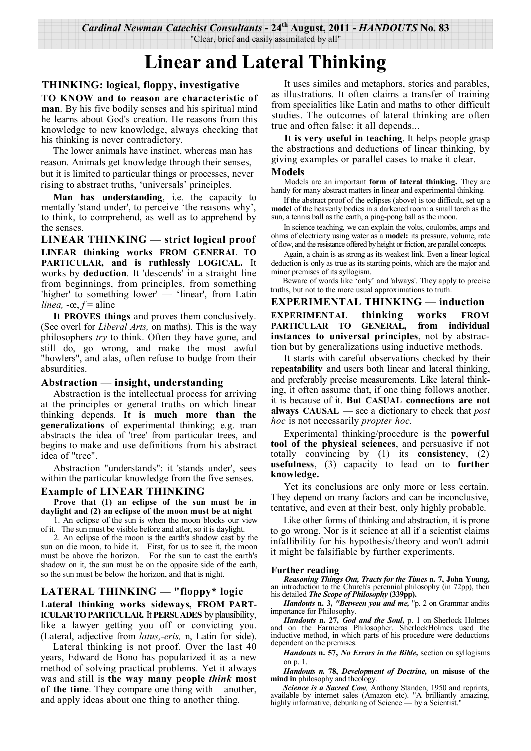# **Linear and Lateral Thinking**

# **THINKING: logical, floppy, investigative**

**TO KNOW and to reason are characteristic of man**. By his five bodily senses and his spiritual mind he learns about God's creation. He reasons from this knowledge to new knowledge, always checking that his thinking is never contradictory.

 The lower animals have instinct, whereas man has reason. Animals get knowledge through their senses, but it is limited to particular things or processes, never rising to abstract truths, 'universals' principles.

**Man has understanding**, i.e. the capacity to mentally 'stand under', to perceive 'the reasons why', to think, to comprehend, as well as to apprehend by the senses.

**LINEAR THINKING — strict logical proof LINEAR thinking works FROM GENERAL TO PARTICULAR, and is ruthlessly LOGICAL.** It works by **deduction**. It 'descends' in a straight line from beginnings, from principles, from something 'higher' to something lower' — 'linear', from Latin *linea,*  $-\infty$ ,  $f =$  aline

**It PROVES things** and proves them conclusively. (See overl for *Liberal Arts,* on maths). This is the way philosophers *try* to think. Often they have gone, and still do, go wrong, and make the most awful "howlers", and alas, often refuse to budge from their absurdities.

# **Abstraction** — **insight, understanding**

Abstraction is the intellectual process for arriving at the principles or general truths on which linear thinking depends. **It is much more than the generalizations** of experimental thinking; e.g. man abstracts the idea of 'tree' from particular trees, and begins to make and use definitions from his abstract idea of "tree".

Abstraction "understands": it 'stands under', sees within the particular knowledge from the five senses.

# **Example of LINEAR THINKING**

**Prove that (1) an eclipse of the sun must be in daylight and (2) an eclipse of the moon must be at night**  1. An eclipse of the sun is when the moon blocks our view

of it. The sun must be visible before and after, so it is daylight.

2. An eclipse of the moon is the earth's shadow cast by the sun on die moon, to hide it. First, for us to see it, the moon must be above the horizon. For the sun to cast the earth's shadow on it, the sun must be on the opposite side of the earth, so the sun must be below the horizon, and that is night.

# **LATERAL THINKING — "floppy\* logic Lateral thinking works sideways, FROM PART-ICULAR TO PARTICULAR.** It **PERSUADES** by plausibility, like a lawyer getting you off or convicting you.

(Lateral, adjective from *latus,-eris,* n, Latin for side).

 Lateral thinking is not proof. Over the last 40 years, Edward de Bono has popularized it as a new method of solving practical problems. Yet it always was and still is **the way many people** *think* **most of the time**. They compare one thing with another, and apply ideas about one thing to another thing.

It uses similes and metaphors, stories and parables, as illustrations. It often claims a transfer of training from specialities like Latin and maths to other difficult studies. The outcomes of lateral thinking are often true and often false: it all depends...

**It is very useful in teaching**. It helps people grasp the abstractions and deductions of linear thinking, by giving examples or parallel cases to make it clear. **Models**

Models are an important **form of lateral thinking.** They are handy for many abstract matters in linear and experimental thinking.

If the abstract proof of the eclipses (above) is too difficult, set up a **model** of the heavenly bodies in a darkened room: a small torch as the sun, a tennis ball as the earth, a ping-pong ball as the moon.

In science teaching, we can explain the volts, coulombs, amps and ohms of electricity using water as a **model:** its pressure, volume, rate of flow, and the resistance offered by height or friction, are parallel concepts.

Again, a chain is as strong as its weakest link. Even a linear logical deduction is only as true as its starting points, which are the major and minor premises of its syllogism.

 Beware of words like 'only' and 'always'. They apply to precise truths, but not to the more usual approximations to truth.

**EXPERIMENTAL THINKING — induction**

**EXPERIMENTAL thinking works FROM**  PARTICULAR TO GENERAL, **instances to universal principles**, not by abstraction but by generalizations using inductive methods.

It starts with careful observations checked by their **repeatability** and users both linear and lateral thinking, and preferably precise measurements. Like lateral thinking, it often assume that, if one thing follows another, it is because of it. **But CASUAL connections are not always CAUSAL** — see a dictionary to check that *post hoc* is not necessarily *propter hoc.*

Experimental thinking/procedure is the **powerful tool of the physical sciences**, and persuasive if not totally convincing by (1) its **consistency**, (2) **usefulness**, (3) capacity to lead on to **further knowledge.**

Yet its conclusions are only more or less certain. They depend on many factors and can be inconclusive, tentative, and even at their best, only highly probable.

Like other forms of thinking and abstraction, it is prone to go wrong. Nor is it science at all if a scientist claims infallibility for his hypothesis/theory and won't admit it might be falsifiable by further experiments.

# **Further reading**

*Reasoning Things Out, Tracts for the Times* **n. 7, John Young,**  an introduction to the Church's perennial philosophy (in 72pp), then his detailed *The Scope of Philosophy* **(339pp).**

*Handouts* **n. 3,** *"Between you and me,* "p. 2 on Grammar andits importance for Philosophy.

*Handouts* **n. 27,** *God and the Soul,* p. 1 on Sherlock Holmes and on the Farmeras Philosopher. SherlockHolmes used the inductive method, in which parts of his procedure were deductions dependent on the premises.

*Handouts* **n. 57,** *No Errors in the Bible,* section on syllogisms on p. 1.

*Handouts n.* **78,** *Development of Doctrine,* **on misuse of the mind in** philosophy and theology.

*Science is a Sacred Cow,* Anthony Standen, 1950 and reprints, available by internet sales (Amazon etc). "A brilliantly amazing, highly informative, debunking of Science — by a Scientist."